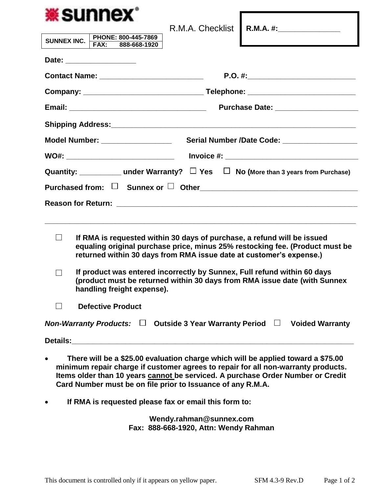| <b>*sunnex</b>                                                                                                                                                                                                                                                                                                          |                                                                                  |                                           |
|-------------------------------------------------------------------------------------------------------------------------------------------------------------------------------------------------------------------------------------------------------------------------------------------------------------------------|----------------------------------------------------------------------------------|-------------------------------------------|
|                                                                                                                                                                                                                                                                                                                         |                                                                                  | R.M.A. Checklist R.M.A. #: ______________ |
| PHONE: 800-445-7869<br><b>SUNNEX INC.</b><br>FAX: 888-668-1920                                                                                                                                                                                                                                                          |                                                                                  |                                           |
|                                                                                                                                                                                                                                                                                                                         |                                                                                  |                                           |
|                                                                                                                                                                                                                                                                                                                         |                                                                                  |                                           |
|                                                                                                                                                                                                                                                                                                                         |                                                                                  |                                           |
|                                                                                                                                                                                                                                                                                                                         |                                                                                  |                                           |
|                                                                                                                                                                                                                                                                                                                         |                                                                                  |                                           |
| Model Number: _________________<br>Serial Number /Date Code: ___________________                                                                                                                                                                                                                                        |                                                                                  |                                           |
|                                                                                                                                                                                                                                                                                                                         | WO#: _____________________________  lnvoice #: _________________________________ |                                           |
| Quantity: _______________under Warranty? $\Box$ Yes $\Box$ No (More than 3 years from Purchase)                                                                                                                                                                                                                         |                                                                                  |                                           |
|                                                                                                                                                                                                                                                                                                                         |                                                                                  |                                           |
|                                                                                                                                                                                                                                                                                                                         |                                                                                  |                                           |
|                                                                                                                                                                                                                                                                                                                         |                                                                                  |                                           |
| $\Box$<br>If RMA is requested within 30 days of purchase, a refund will be issued<br>equaling original purchase price, minus 25% restocking fee. (Product must be<br>returned within 30 days from RMA issue date at customer's expense.)                                                                                |                                                                                  |                                           |
| If product was entered incorrectly by Sunnex, Full refund within 60 days<br>$\Box$<br>(product must be returned within 30 days from RMA issue date (with Sunnex<br>handling freight expense).                                                                                                                           |                                                                                  |                                           |
| <b>Defective Product</b><br>$\Box$                                                                                                                                                                                                                                                                                      |                                                                                  |                                           |
| Non-Warranty Products: $\Box$ Outside 3 Year Warranty Period $\Box$<br><b>Voided Warranty</b>                                                                                                                                                                                                                           |                                                                                  |                                           |
|                                                                                                                                                                                                                                                                                                                         |                                                                                  |                                           |
| There will be a \$25.00 evaluation charge which will be applied toward a \$75.00<br>minimum repair charge if customer agrees to repair for all non-warranty products.<br>Items older than 10 years cannot be serviced. A purchase Order Number or Credit<br>Card Number must be on file prior to Issuance of any R.M.A. |                                                                                  |                                           |
| If RMA is requested please fax or email this form to:                                                                                                                                                                                                                                                                   |                                                                                  |                                           |

**Wendy.rahman@sunnex.com Fax: 888-668-1920, Attn: Wendy Rahman**